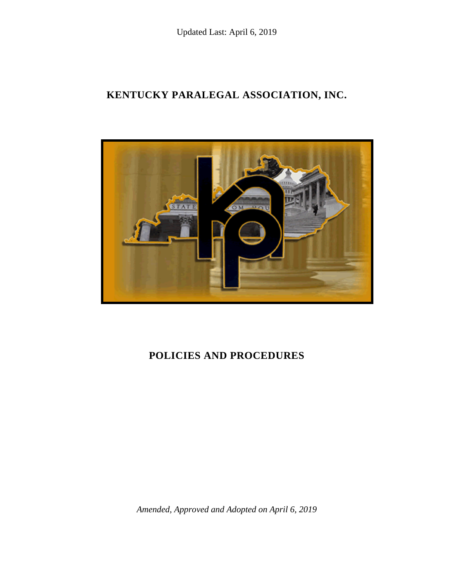# **KENTUCKY PARALEGAL ASSOCIATION, INC.**



# **POLICIES AND PROCEDURES**

*Amended, Approved and Adopted on April 6, 2019*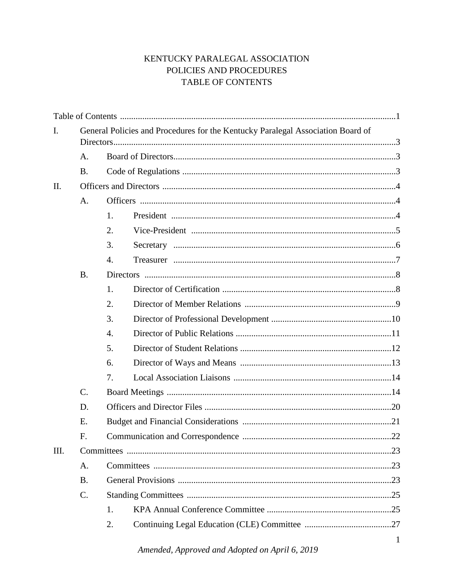# KENTUCKY PARALEGAL ASSOCIATION POLICIES AND PROCEDURES TABLE OF CONTENTS

| I.   | General Policies and Procedures for the Kentucky Paralegal Association Board of |                  |  |  |  |
|------|---------------------------------------------------------------------------------|------------------|--|--|--|
|      |                                                                                 |                  |  |  |  |
|      | A.                                                                              |                  |  |  |  |
|      | <b>B.</b>                                                                       |                  |  |  |  |
| II.  |                                                                                 |                  |  |  |  |
|      | A.                                                                              |                  |  |  |  |
|      |                                                                                 | 1.               |  |  |  |
|      |                                                                                 | 2.               |  |  |  |
|      |                                                                                 | 3.               |  |  |  |
|      |                                                                                 | $\overline{4}$ . |  |  |  |
|      | <b>B.</b>                                                                       |                  |  |  |  |
|      |                                                                                 | 1.               |  |  |  |
|      |                                                                                 | 2.               |  |  |  |
|      |                                                                                 | 3.               |  |  |  |
|      |                                                                                 | 4.               |  |  |  |
|      |                                                                                 | 5.               |  |  |  |
|      |                                                                                 | 6.               |  |  |  |
|      |                                                                                 | 7.               |  |  |  |
|      | C.                                                                              |                  |  |  |  |
|      | D.                                                                              |                  |  |  |  |
|      | E.                                                                              |                  |  |  |  |
|      | F.                                                                              |                  |  |  |  |
| III. |                                                                                 |                  |  |  |  |
|      | A.                                                                              |                  |  |  |  |
|      | <b>B.</b>                                                                       |                  |  |  |  |
|      | C.                                                                              |                  |  |  |  |
|      |                                                                                 | 1.               |  |  |  |
|      |                                                                                 | 2.               |  |  |  |
|      |                                                                                 |                  |  |  |  |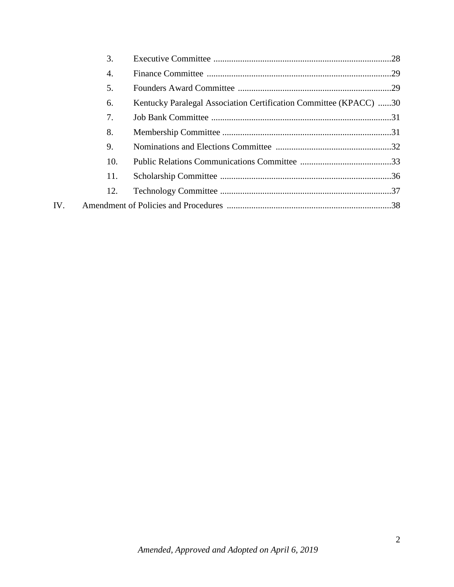|     | 3.  |                                                                   |  |
|-----|-----|-------------------------------------------------------------------|--|
|     | 4.  |                                                                   |  |
|     | 5.  |                                                                   |  |
|     | 6.  | Kentucky Paralegal Association Certification Committee (KPACC) 30 |  |
|     | 7.  |                                                                   |  |
|     | 8.  |                                                                   |  |
|     | 9.  |                                                                   |  |
|     | 10. |                                                                   |  |
|     | 11. |                                                                   |  |
|     | 12. |                                                                   |  |
| IV. |     |                                                                   |  |
|     |     |                                                                   |  |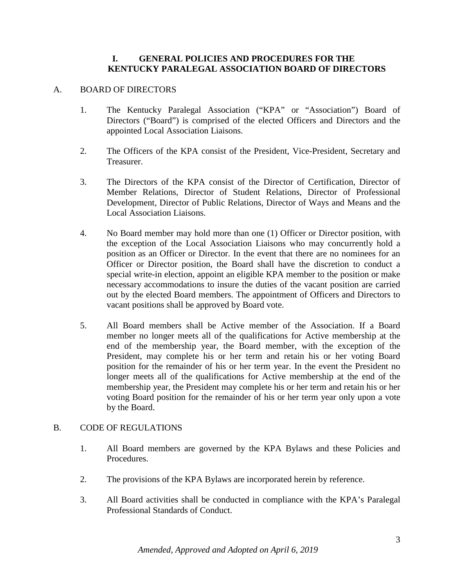#### **I. GENERAL POLICIES AND PROCEDURES FOR THE KENTUCKY PARALEGAL ASSOCIATION BOARD OF DIRECTORS**

#### A. BOARD OF DIRECTORS

- 1. The Kentucky Paralegal Association ("KPA" or "Association") Board of Directors ("Board") is comprised of the elected Officers and Directors and the appointed Local Association Liaisons.
- 2. The Officers of the KPA consist of the President, Vice-President, Secretary and Treasurer.
- 3. The Directors of the KPA consist of the Director of Certification, Director of Member Relations, Director of Student Relations, Director of Professional Development, Director of Public Relations, Director of Ways and Means and the Local Association Liaisons.
- 4. No Board member may hold more than one (1) Officer or Director position, with the exception of the Local Association Liaisons who may concurrently hold a position as an Officer or Director. In the event that there are no nominees for an Officer or Director position, the Board shall have the discretion to conduct a special write-in election, appoint an eligible KPA member to the position or make necessary accommodations to insure the duties of the vacant position are carried out by the elected Board members. The appointment of Officers and Directors to vacant positions shall be approved by Board vote.
- 5. All Board members shall be Active member of the Association. If a Board member no longer meets all of the qualifications for Active membership at the end of the membership year, the Board member, with the exception of the President, may complete his or her term and retain his or her voting Board position for the remainder of his or her term year. In the event the President no longer meets all of the qualifications for Active membership at the end of the membership year, the President may complete his or her term and retain his or her voting Board position for the remainder of his or her term year only upon a vote by the Board.

#### B. CODE OF REGULATIONS

- 1. All Board members are governed by the KPA Bylaws and these Policies and Procedures.
- 2. The provisions of the KPA Bylaws are incorporated herein by reference.
- 3. All Board activities shall be conducted in compliance with the KPA's Paralegal Professional Standards of Conduct.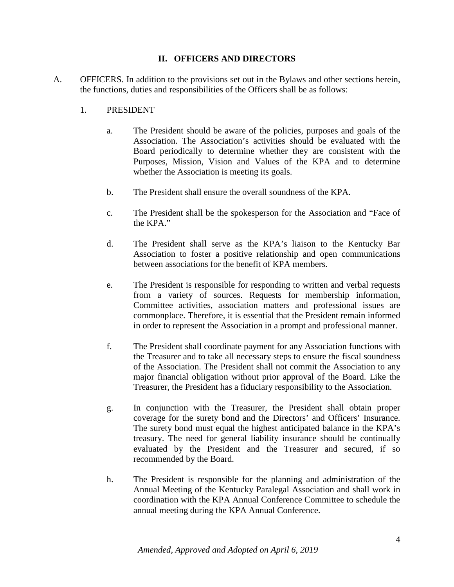# **II. OFFICERS AND DIRECTORS**

- A. OFFICERS. In addition to the provisions set out in the Bylaws and other sections herein, the functions, duties and responsibilities of the Officers shall be as follows:
	- 1. PRESIDENT
		- a. The President should be aware of the policies, purposes and goals of the Association. The Association's activities should be evaluated with the Board periodically to determine whether they are consistent with the Purposes, Mission, Vision and Values of the KPA and to determine whether the Association is meeting its goals.
		- b. The President shall ensure the overall soundness of the KPA.
		- c. The President shall be the spokesperson for the Association and "Face of the KPA."
		- d. The President shall serve as the KPA's liaison to the Kentucky Bar Association to foster a positive relationship and open communications between associations for the benefit of KPA members.
		- e. The President is responsible for responding to written and verbal requests from a variety of sources. Requests for membership information, Committee activities, association matters and professional issues are commonplace. Therefore, it is essential that the President remain informed in order to represent the Association in a prompt and professional manner.
		- f. The President shall coordinate payment for any Association functions with the Treasurer and to take all necessary steps to ensure the fiscal soundness of the Association. The President shall not commit the Association to any major financial obligation without prior approval of the Board. Like the Treasurer, the President has a fiduciary responsibility to the Association.
		- g. In conjunction with the Treasurer, the President shall obtain proper coverage for the surety bond and the Directors' and Officers' Insurance. The surety bond must equal the highest anticipated balance in the KPA's treasury. The need for general liability insurance should be continually evaluated by the President and the Treasurer and secured, if so recommended by the Board.
		- h. The President is responsible for the planning and administration of the Annual Meeting of the Kentucky Paralegal Association and shall work in coordination with the KPA Annual Conference Committee to schedule the annual meeting during the KPA Annual Conference.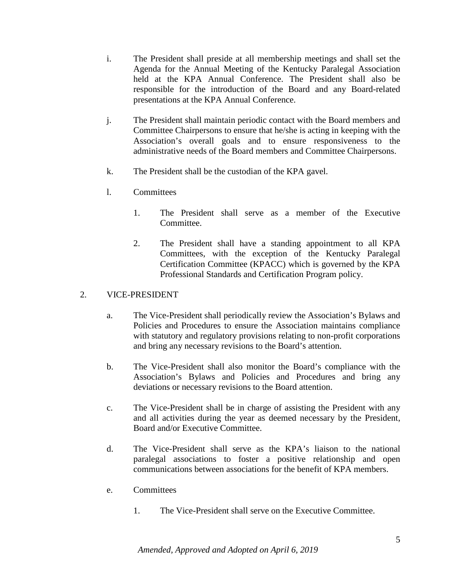- i. The President shall preside at all membership meetings and shall set the Agenda for the Annual Meeting of the Kentucky Paralegal Association held at the KPA Annual Conference. The President shall also be responsible for the introduction of the Board and any Board-related presentations at the KPA Annual Conference.
- j. The President shall maintain periodic contact with the Board members and Committee Chairpersons to ensure that he/she is acting in keeping with the Association's overall goals and to ensure responsiveness to the administrative needs of the Board members and Committee Chairpersons.
- k. The President shall be the custodian of the KPA gavel.
- l. Committees
	- 1. The President shall serve as a member of the Executive Committee.
	- 2. The President shall have a standing appointment to all KPA Committees, with the exception of the Kentucky Paralegal Certification Committee (KPACC) which is governed by the KPA Professional Standards and Certification Program policy.

#### 2. VICE-PRESIDENT

- a. The Vice-President shall periodically review the Association's Bylaws and Policies and Procedures to ensure the Association maintains compliance with statutory and regulatory provisions relating to non-profit corporations and bring any necessary revisions to the Board's attention.
- b. The Vice-President shall also monitor the Board's compliance with the Association's Bylaws and Policies and Procedures and bring any deviations or necessary revisions to the Board attention.
- c. The Vice-President shall be in charge of assisting the President with any and all activities during the year as deemed necessary by the President, Board and/or Executive Committee.
- d. The Vice-President shall serve as the KPA's liaison to the national paralegal associations to foster a positive relationship and open communications between associations for the benefit of KPA members.
- e. Committees
	- 1. The Vice-President shall serve on the Executive Committee.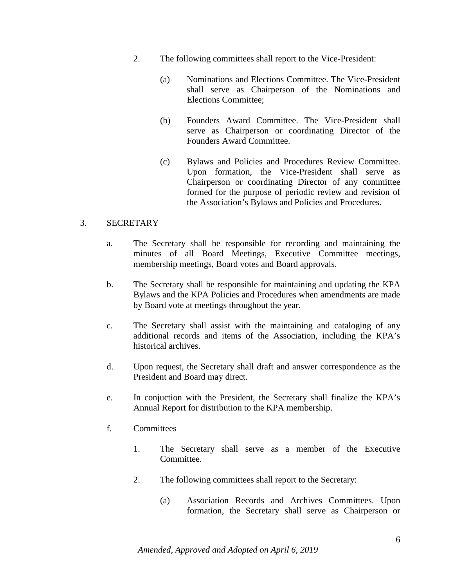- 2. The following committees shall report to the Vice-President:
	- (a) Nominations and Elections Committee. The Vice-President shall serve as Chairperson of the Nominations and Elections Committee;
	- (b) Founders Award Committee. The Vice-President shall serve as Chairperson or coordinating Director of the Founders Award Committee.
	- (c) Bylaws and Policies and Procedures Review Committee. Upon formation, the Vice-President shall serve as Chairperson or coordinating Director of any committee formed for the purpose of periodic review and revision of the Association's Bylaws and Policies and Procedures.

# 3. SECRETARY

- a. The Secretary shall be responsible for recording and maintaining the minutes of all Board Meetings, Executive Committee meetings, membership meetings, Board votes and Board approvals.
- b. The Secretary shall be responsible for maintaining and updating the KPA Bylaws and the KPA Policies and Procedures when amendments are made by Board vote at meetings throughout the year.
- c. The Secretary shall assist with the maintaining and cataloging of any additional records and items of the Association, including the KPA's historical archives.
- d. Upon request, the Secretary shall draft and answer correspondence as the President and Board may direct.
- e. In conjuction with the President, the Secretary shall finalize the KPA's Annual Report for distribution to the KPA membership.
- f. Committees
	- 1. The Secretary shall serve as a member of the Executive Committee.
	- 2. The following committees shall report to the Secretary:
		- (a) Association Records and Archives Committees. Upon formation, the Secretary shall serve as Chairperson or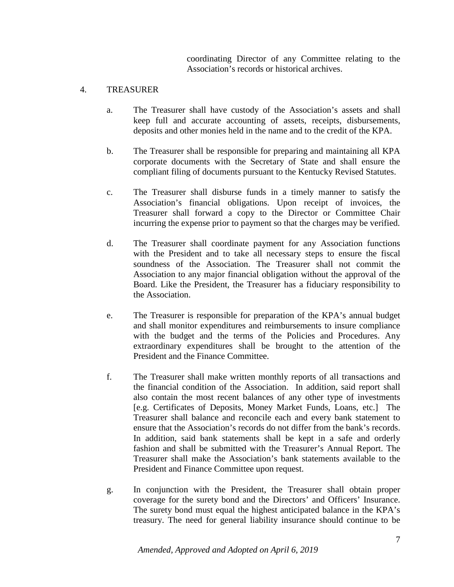coordinating Director of any Committee relating to the Association's records or historical archives.

#### 4. TREASURER

- a. The Treasurer shall have custody of the Association's assets and shall keep full and accurate accounting of assets, receipts, disbursements, deposits and other monies held in the name and to the credit of the KPA.
- b. The Treasurer shall be responsible for preparing and maintaining all KPA corporate documents with the Secretary of State and shall ensure the compliant filing of documents pursuant to the Kentucky Revised Statutes.
- c. The Treasurer shall disburse funds in a timely manner to satisfy the Association's financial obligations. Upon receipt of invoices, the Treasurer shall forward a copy to the Director or Committee Chair incurring the expense prior to payment so that the charges may be verified.
- d. The Treasurer shall coordinate payment for any Association functions with the President and to take all necessary steps to ensure the fiscal soundness of the Association. The Treasurer shall not commit the Association to any major financial obligation without the approval of the Board. Like the President, the Treasurer has a fiduciary responsibility to the Association.
- e. The Treasurer is responsible for preparation of the KPA's annual budget and shall monitor expenditures and reimbursements to insure compliance with the budget and the terms of the Policies and Procedures. Any extraordinary expenditures shall be brought to the attention of the President and the Finance Committee.
- f. The Treasurer shall make written monthly reports of all transactions and the financial condition of the Association. In addition, said report shall also contain the most recent balances of any other type of investments [e.g. Certificates of Deposits, Money Market Funds, Loans, etc.] The Treasurer shall balance and reconcile each and every bank statement to ensure that the Association's records do not differ from the bank's records. In addition, said bank statements shall be kept in a safe and orderly fashion and shall be submitted with the Treasurer's Annual Report. The Treasurer shall make the Association's bank statements available to the President and Finance Committee upon request.
- g. In conjunction with the President, the Treasurer shall obtain proper coverage for the surety bond and the Directors' and Officers' Insurance. The surety bond must equal the highest anticipated balance in the KPA's treasury. The need for general liability insurance should continue to be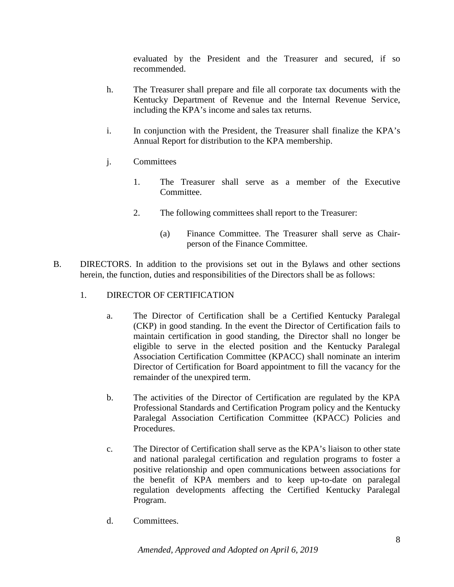evaluated by the President and the Treasurer and secured, if so recommended.

- h. The Treasurer shall prepare and file all corporate tax documents with the Kentucky Department of Revenue and the Internal Revenue Service, including the KPA's income and sales tax returns.
- i. In conjunction with the President, the Treasurer shall finalize the KPA's Annual Report for distribution to the KPA membership.
- j. Committees
	- 1. The Treasurer shall serve as a member of the Executive Committee.
	- 2. The following committees shall report to the Treasurer:
		- (a) Finance Committee. The Treasurer shall serve as Chairperson of the Finance Committee.
- B. DIRECTORS. In addition to the provisions set out in the Bylaws and other sections herein, the function, duties and responsibilities of the Directors shall be as follows:
	- 1. DIRECTOR OF CERTIFICATION
		- a. The Director of Certification shall be a Certified Kentucky Paralegal (CKP) in good standing. In the event the Director of Certification fails to maintain certification in good standing, the Director shall no longer be eligible to serve in the elected position and the Kentucky Paralegal Association Certification Committee (KPACC) shall nominate an interim Director of Certification for Board appointment to fill the vacancy for the remainder of the unexpired term.
		- b. The activities of the Director of Certification are regulated by the KPA Professional Standards and Certification Program policy and the Kentucky Paralegal Association Certification Committee (KPACC) Policies and Procedures.
		- c. The Director of Certification shall serve as the KPA's liaison to other state and national paralegal certification and regulation programs to foster a positive relationship and open communications between associations for the benefit of KPA members and to keep up-to-date on paralegal regulation developments affecting the Certified Kentucky Paralegal Program.
		- d. Committees.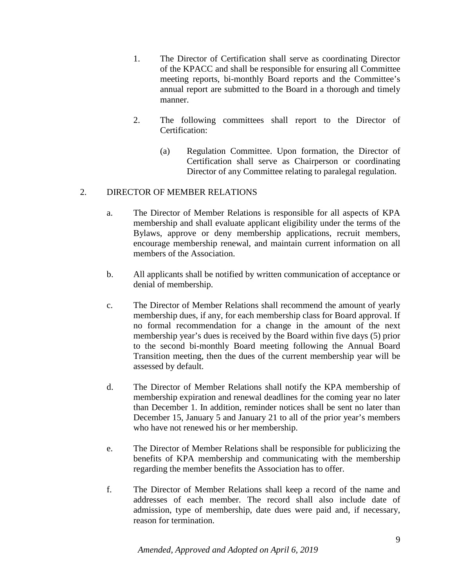- 1. The Director of Certification shall serve as coordinating Director of the KPACC and shall be responsible for ensuring all Committee meeting reports, bi-monthly Board reports and the Committee's annual report are submitted to the Board in a thorough and timely manner.
- 2. The following committees shall report to the Director of Certification:
	- (a) Regulation Committee. Upon formation, the Director of Certification shall serve as Chairperson or coordinating Director of any Committee relating to paralegal regulation.

# 2. DIRECTOR OF MEMBER RELATIONS

- a. The Director of Member Relations is responsible for all aspects of KPA membership and shall evaluate applicant eligibility under the terms of the Bylaws, approve or deny membership applications, recruit members, encourage membership renewal, and maintain current information on all members of the Association.
- b. All applicants shall be notified by written communication of acceptance or denial of membership.
- c. The Director of Member Relations shall recommend the amount of yearly membership dues, if any, for each membership class for Board approval. If no formal recommendation for a change in the amount of the next membership year's dues is received by the Board within five days (5) prior to the second bi-monthly Board meeting following the Annual Board Transition meeting, then the dues of the current membership year will be assessed by default.
- d. The Director of Member Relations shall notify the KPA membership of membership expiration and renewal deadlines for the coming year no later than December 1. In addition, reminder notices shall be sent no later than December 15, January 5 and January 21 to all of the prior year's members who have not renewed his or her membership.
- e. The Director of Member Relations shall be responsible for publicizing the benefits of KPA membership and communicating with the membership regarding the member benefits the Association has to offer.
- f. The Director of Member Relations shall keep a record of the name and addresses of each member. The record shall also include date of admission, type of membership, date dues were paid and, if necessary, reason for termination.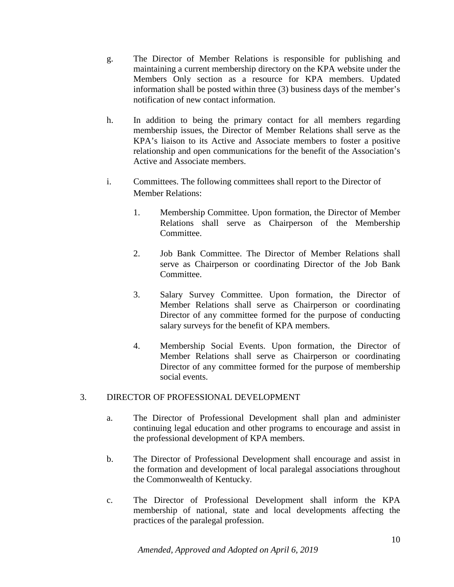- g. The Director of Member Relations is responsible for publishing and maintaining a current membership directory on the KPA website under the Members Only section as a resource for KPA members. Updated information shall be posted within three (3) business days of the member's notification of new contact information.
- h. In addition to being the primary contact for all members regarding membership issues, the Director of Member Relations shall serve as the KPA's liaison to its Active and Associate members to foster a positive relationship and open communications for the benefit of the Association's Active and Associate members.
- i. Committees. The following committees shall report to the Director of Member Relations:
	- 1. Membership Committee. Upon formation, the Director of Member Relations shall serve as Chairperson of the Membership Committee.
	- 2. Job Bank Committee. The Director of Member Relations shall serve as Chairperson or coordinating Director of the Job Bank Committee.
	- 3. Salary Survey Committee. Upon formation, the Director of Member Relations shall serve as Chairperson or coordinating Director of any committee formed for the purpose of conducting salary surveys for the benefit of KPA members.
	- 4. Membership Social Events. Upon formation, the Director of Member Relations shall serve as Chairperson or coordinating Director of any committee formed for the purpose of membership social events.

# 3. DIRECTOR OF PROFESSIONAL DEVELOPMENT

- a. The Director of Professional Development shall plan and administer continuing legal education and other programs to encourage and assist in the professional development of KPA members.
- b. The Director of Professional Development shall encourage and assist in the formation and development of local paralegal associations throughout the Commonwealth of Kentucky.
- c. The Director of Professional Development shall inform the KPA membership of national, state and local developments affecting the practices of the paralegal profession.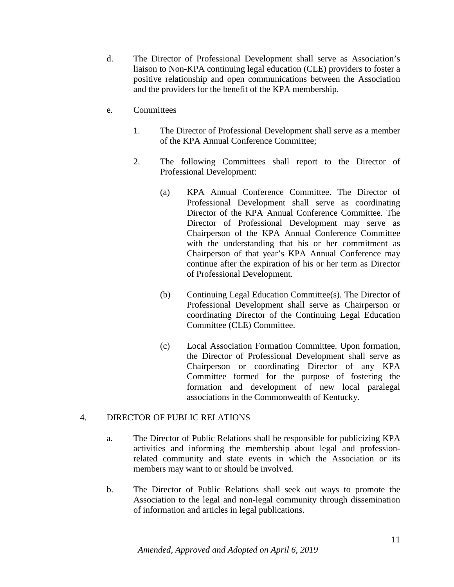- d. The Director of Professional Development shall serve as Association's liaison to Non-KPA continuing legal education (CLE) providers to foster a positive relationship and open communications between the Association and the providers for the benefit of the KPA membership.
- e. Committees
	- 1. The Director of Professional Development shall serve as a member of the KPA Annual Conference Committee;
	- 2. The following Committees shall report to the Director of Professional Development:
		- (a) KPA Annual Conference Committee. The Director of Professional Development shall serve as coordinating Director of the KPA Annual Conference Committee. The Director of Professional Development may serve as Chairperson of the KPA Annual Conference Committee with the understanding that his or her commitment as Chairperson of that year's KPA Annual Conference may continue after the expiration of his or her term as Director of Professional Development.
		- (b) Continuing Legal Education Committee(s). The Director of Professional Development shall serve as Chairperson or coordinating Director of the Continuing Legal Education Committee (CLE) Committee.
		- (c) Local Association Formation Committee. Upon formation, the Director of Professional Development shall serve as Chairperson or coordinating Director of any KPA Committee formed for the purpose of fostering the formation and development of new local paralegal associations in the Commonwealth of Kentucky.

# 4. DIRECTOR OF PUBLIC RELATIONS

- a. The Director of Public Relations shall be responsible for publicizing KPA activities and informing the membership about legal and professionrelated community and state events in which the Association or its members may want to or should be involved.
- b. The Director of Public Relations shall seek out ways to promote the Association to the legal and non-legal community through dissemination of information and articles in legal publications.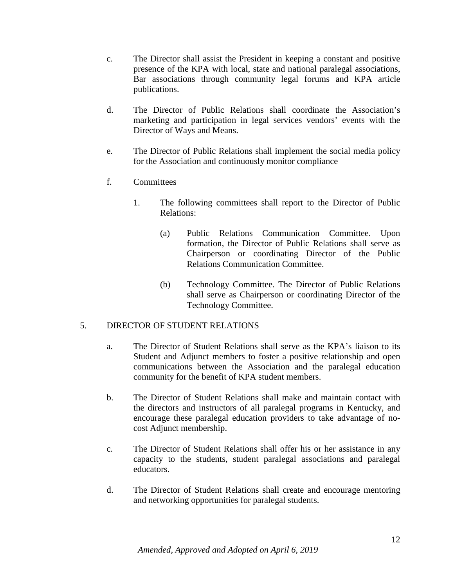- c. The Director shall assist the President in keeping a constant and positive presence of the KPA with local, state and national paralegal associations, Bar associations through community legal forums and KPA article publications.
- d. The Director of Public Relations shall coordinate the Association's marketing and participation in legal services vendors' events with the Director of Ways and Means.
- e. The Director of Public Relations shall implement the social media policy for the Association and continuously monitor compliance
- f. Committees
	- 1. The following committees shall report to the Director of Public Relations:
		- (a) Public Relations Communication Committee. Upon formation, the Director of Public Relations shall serve as Chairperson or coordinating Director of the Public Relations Communication Committee.
		- (b) Technology Committee. The Director of Public Relations shall serve as Chairperson or coordinating Director of the Technology Committee.

#### 5. DIRECTOR OF STUDENT RELATIONS

- a. The Director of Student Relations shall serve as the KPA's liaison to its Student and Adjunct members to foster a positive relationship and open communications between the Association and the paralegal education community for the benefit of KPA student members.
- b. The Director of Student Relations shall make and maintain contact with the directors and instructors of all paralegal programs in Kentucky, and encourage these paralegal education providers to take advantage of nocost Adjunct membership.
- c. The Director of Student Relations shall offer his or her assistance in any capacity to the students, student paralegal associations and paralegal educators.
- d. The Director of Student Relations shall create and encourage mentoring and networking opportunities for paralegal students.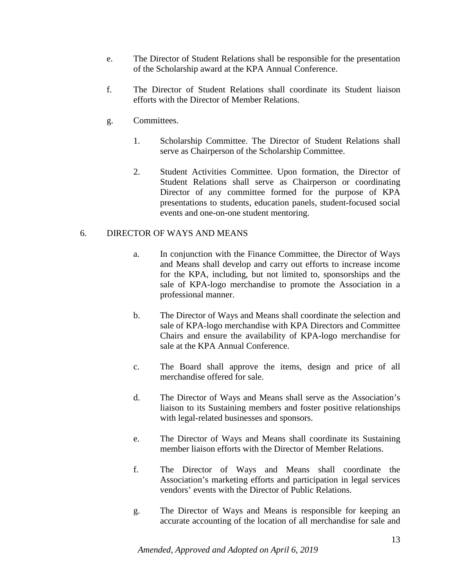- e. The Director of Student Relations shall be responsible for the presentation of the Scholarship award at the KPA Annual Conference.
- f. The Director of Student Relations shall coordinate its Student liaison efforts with the Director of Member Relations.
- g. Committees.
	- 1. Scholarship Committee. The Director of Student Relations shall serve as Chairperson of the Scholarship Committee.
	- 2. Student Activities Committee. Upon formation, the Director of Student Relations shall serve as Chairperson or coordinating Director of any committee formed for the purpose of KPA presentations to students, education panels, student-focused social events and one-on-one student mentoring.

# 6. DIRECTOR OF WAYS AND MEANS

- a. In conjunction with the Finance Committee, the Director of Ways and Means shall develop and carry out efforts to increase income for the KPA, including, but not limited to, sponsorships and the sale of KPA-logo merchandise to promote the Association in a professional manner.
- b. The Director of Ways and Means shall coordinate the selection and sale of KPA-logo merchandise with KPA Directors and Committee Chairs and ensure the availability of KPA-logo merchandise for sale at the KPA Annual Conference.
- c. The Board shall approve the items, design and price of all merchandise offered for sale.
- d. The Director of Ways and Means shall serve as the Association's liaison to its Sustaining members and foster positive relationships with legal-related businesses and sponsors.
- e. The Director of Ways and Means shall coordinate its Sustaining member liaison efforts with the Director of Member Relations.
- f. The Director of Ways and Means shall coordinate the Association's marketing efforts and participation in legal services vendors' events with the Director of Public Relations.
- g. The Director of Ways and Means is responsible for keeping an accurate accounting of the location of all merchandise for sale and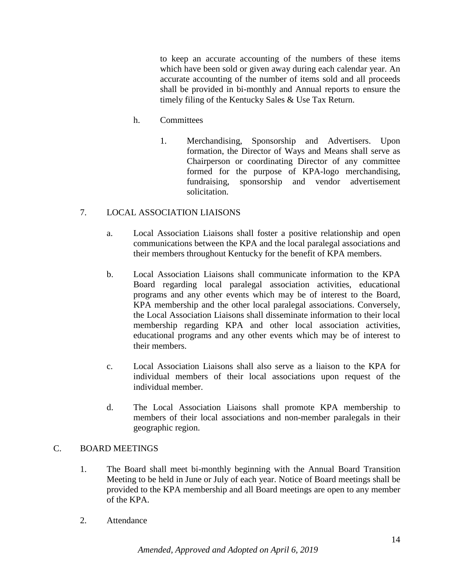to keep an accurate accounting of the numbers of these items which have been sold or given away during each calendar year. An accurate accounting of the number of items sold and all proceeds shall be provided in bi-monthly and Annual reports to ensure the timely filing of the Kentucky Sales & Use Tax Return.

- h. Committees
	- 1. Merchandising, Sponsorship and Advertisers. Upon formation, the Director of Ways and Means shall serve as Chairperson or coordinating Director of any committee formed for the purpose of KPA-logo merchandising, fundraising, sponsorship and vendor advertisement solicitation.

# 7. LOCAL ASSOCIATION LIAISONS

- a. Local Association Liaisons shall foster a positive relationship and open communications between the KPA and the local paralegal associations and their members throughout Kentucky for the benefit of KPA members.
- b. Local Association Liaisons shall communicate information to the KPA Board regarding local paralegal association activities, educational programs and any other events which may be of interest to the Board, KPA membership and the other local paralegal associations. Conversely, the Local Association Liaisons shall disseminate information to their local membership regarding KPA and other local association activities, educational programs and any other events which may be of interest to their members.
- c. Local Association Liaisons shall also serve as a liaison to the KPA for individual members of their local associations upon request of the individual member.
- d. The Local Association Liaisons shall promote KPA membership to members of their local associations and non-member paralegals in their geographic region.

# C. BOARD MEETINGS

- 1. The Board shall meet bi-monthly beginning with the Annual Board Transition Meeting to be held in June or July of each year. Notice of Board meetings shall be provided to the KPA membership and all Board meetings are open to any member of the KPA.
- 2. Attendance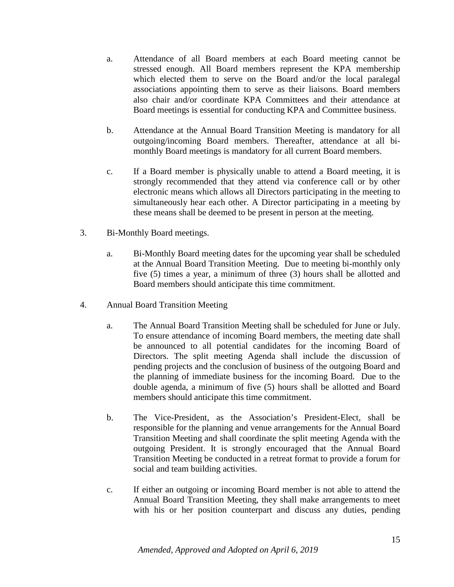- a. Attendance of all Board members at each Board meeting cannot be stressed enough. All Board members represent the KPA membership which elected them to serve on the Board and/or the local paralegal associations appointing them to serve as their liaisons. Board members also chair and/or coordinate KPA Committees and their attendance at Board meetings is essential for conducting KPA and Committee business.
- b. Attendance at the Annual Board Transition Meeting is mandatory for all outgoing/incoming Board members. Thereafter, attendance at all bimonthly Board meetings is mandatory for all current Board members.
- c. If a Board member is physically unable to attend a Board meeting, it is strongly recommended that they attend via conference call or by other electronic means which allows all Directors participating in the meeting to simultaneously hear each other. A Director participating in a meeting by these means shall be deemed to be present in person at the meeting.
- 3. Bi-Monthly Board meetings.
	- a. Bi-Monthly Board meeting dates for the upcoming year shall be scheduled at the Annual Board Transition Meeting. Due to meeting bi-monthly only five (5) times a year, a minimum of three (3) hours shall be allotted and Board members should anticipate this time commitment.
- 4. Annual Board Transition Meeting
	- a. The Annual Board Transition Meeting shall be scheduled for June or July. To ensure attendance of incoming Board members, the meeting date shall be announced to all potential candidates for the incoming Board of Directors. The split meeting Agenda shall include the discussion of pending projects and the conclusion of business of the outgoing Board and the planning of immediate business for the incoming Board. Due to the double agenda, a minimum of five (5) hours shall be allotted and Board members should anticipate this time commitment.
	- b. The Vice-President, as the Association's President-Elect, shall be responsible for the planning and venue arrangements for the Annual Board Transition Meeting and shall coordinate the split meeting Agenda with the outgoing President. It is strongly encouraged that the Annual Board Transition Meeting be conducted in a retreat format to provide a forum for social and team building activities.
	- c. If either an outgoing or incoming Board member is not able to attend the Annual Board Transition Meeting, they shall make arrangements to meet with his or her position counterpart and discuss any duties, pending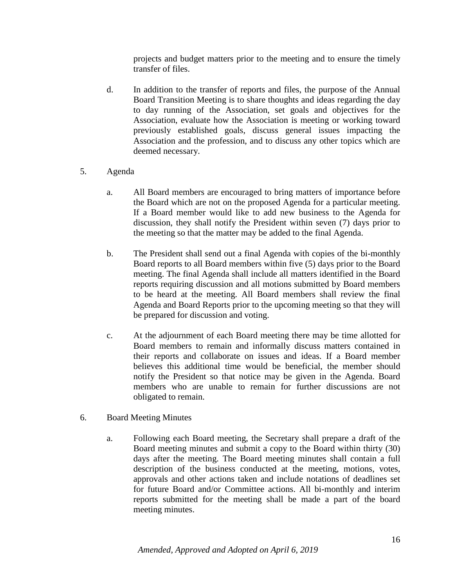projects and budget matters prior to the meeting and to ensure the timely transfer of files.

- d. In addition to the transfer of reports and files, the purpose of the Annual Board Transition Meeting is to share thoughts and ideas regarding the day to day running of the Association, set goals and objectives for the Association, evaluate how the Association is meeting or working toward previously established goals, discuss general issues impacting the Association and the profession, and to discuss any other topics which are deemed necessary.
- 5. Agenda
	- a. All Board members are encouraged to bring matters of importance before the Board which are not on the proposed Agenda for a particular meeting. If a Board member would like to add new business to the Agenda for discussion, they shall notify the President within seven (7) days prior to the meeting so that the matter may be added to the final Agenda.
	- b. The President shall send out a final Agenda with copies of the bi-monthly Board reports to all Board members within five (5) days prior to the Board meeting. The final Agenda shall include all matters identified in the Board reports requiring discussion and all motions submitted by Board members to be heard at the meeting. All Board members shall review the final Agenda and Board Reports prior to the upcoming meeting so that they will be prepared for discussion and voting.
	- c. At the adjournment of each Board meeting there may be time allotted for Board members to remain and informally discuss matters contained in their reports and collaborate on issues and ideas. If a Board member believes this additional time would be beneficial, the member should notify the President so that notice may be given in the Agenda. Board members who are unable to remain for further discussions are not obligated to remain.
- 6. Board Meeting Minutes
	- a. Following each Board meeting, the Secretary shall prepare a draft of the Board meeting minutes and submit a copy to the Board within thirty (30) days after the meeting. The Board meeting minutes shall contain a full description of the business conducted at the meeting, motions, votes, approvals and other actions taken and include notations of deadlines set for future Board and/or Committee actions. All bi-monthly and interim reports submitted for the meeting shall be made a part of the board meeting minutes.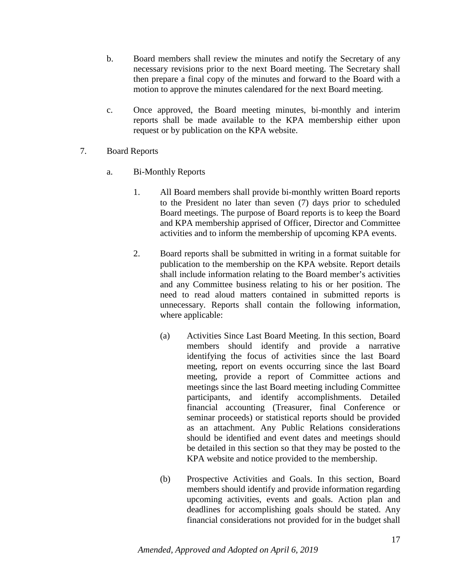- b. Board members shall review the minutes and notify the Secretary of any necessary revisions prior to the next Board meeting. The Secretary shall then prepare a final copy of the minutes and forward to the Board with a motion to approve the minutes calendared for the next Board meeting.
- c. Once approved, the Board meeting minutes, bi-monthly and interim reports shall be made available to the KPA membership either upon request or by publication on the KPA website.
- 7. Board Reports
	- a. Bi-Monthly Reports
		- 1. All Board members shall provide bi-monthly written Board reports to the President no later than seven (7) days prior to scheduled Board meetings. The purpose of Board reports is to keep the Board and KPA membership apprised of Officer, Director and Committee activities and to inform the membership of upcoming KPA events.
		- 2. Board reports shall be submitted in writing in a format suitable for publication to the membership on the KPA website. Report details shall include information relating to the Board member's activities and any Committee business relating to his or her position. The need to read aloud matters contained in submitted reports is unnecessary. Reports shall contain the following information, where applicable:
			- (a) Activities Since Last Board Meeting. In this section, Board members should identify and provide a narrative identifying the focus of activities since the last Board meeting, report on events occurring since the last Board meeting, provide a report of Committee actions and meetings since the last Board meeting including Committee participants, and identify accomplishments. Detailed financial accounting (Treasurer, final Conference or seminar proceeds) or statistical reports should be provided as an attachment. Any Public Relations considerations should be identified and event dates and meetings should be detailed in this section so that they may be posted to the KPA website and notice provided to the membership.
			- (b) Prospective Activities and Goals. In this section, Board members should identify and provide information regarding upcoming activities, events and goals. Action plan and deadlines for accomplishing goals should be stated. Any financial considerations not provided for in the budget shall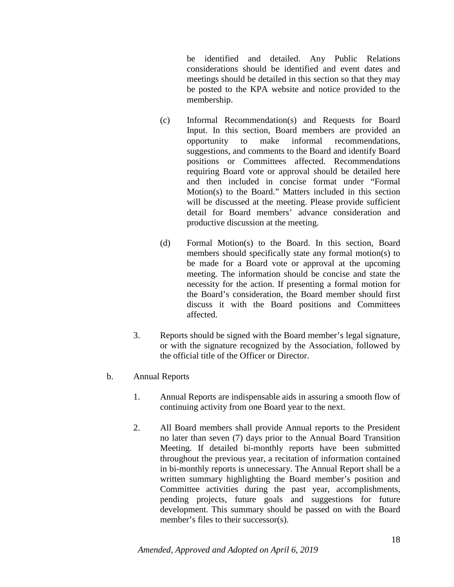be identified and detailed. Any Public Relations considerations should be identified and event dates and meetings should be detailed in this section so that they may be posted to the KPA website and notice provided to the membership.

- (c) Informal Recommendation(s) and Requests for Board Input. In this section, Board members are provided an opportunity to make informal recommendations, suggestions, and comments to the Board and identify Board positions or Committees affected. Recommendations requiring Board vote or approval should be detailed here and then included in concise format under "Formal Motion(s) to the Board." Matters included in this section will be discussed at the meeting. Please provide sufficient detail for Board members' advance consideration and productive discussion at the meeting.
- (d) Formal Motion(s) to the Board. In this section, Board members should specifically state any formal motion(s) to be made for a Board vote or approval at the upcoming meeting. The information should be concise and state the necessity for the action. If presenting a formal motion for the Board's consideration, the Board member should first discuss it with the Board positions and Committees affected.
- 3. Reports should be signed with the Board member's legal signature, or with the signature recognized by the Association, followed by the official title of the Officer or Director.
- b. Annual Reports
	- 1. Annual Reports are indispensable aids in assuring a smooth flow of continuing activity from one Board year to the next.
	- 2. All Board members shall provide Annual reports to the President no later than seven (7) days prior to the Annual Board Transition Meeting. If detailed bi-monthly reports have been submitted throughout the previous year, a recitation of information contained in bi-monthly reports is unnecessary. The Annual Report shall be a written summary highlighting the Board member's position and Committee activities during the past year, accomplishments, pending projects, future goals and suggestions for future development. This summary should be passed on with the Board member's files to their successor(s).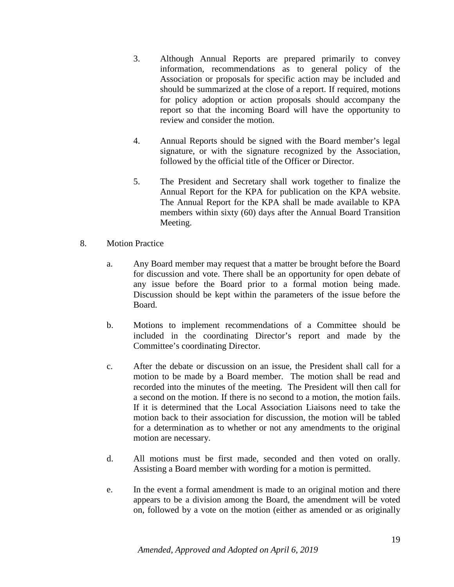- 3. Although Annual Reports are prepared primarily to convey information, recommendations as to general policy of the Association or proposals for specific action may be included and should be summarized at the close of a report. If required, motions for policy adoption or action proposals should accompany the report so that the incoming Board will have the opportunity to review and consider the motion.
- 4. Annual Reports should be signed with the Board member's legal signature, or with the signature recognized by the Association, followed by the official title of the Officer or Director.
- 5. The President and Secretary shall work together to finalize the Annual Report for the KPA for publication on the KPA website. The Annual Report for the KPA shall be made available to KPA members within sixty (60) days after the Annual Board Transition Meeting.
- 8. Motion Practice
	- a. Any Board member may request that a matter be brought before the Board for discussion and vote. There shall be an opportunity for open debate of any issue before the Board prior to a formal motion being made. Discussion should be kept within the parameters of the issue before the Board.
	- b. Motions to implement recommendations of a Committee should be included in the coordinating Director's report and made by the Committee's coordinating Director.
	- c. After the debate or discussion on an issue, the President shall call for a motion to be made by a Board member. The motion shall be read and recorded into the minutes of the meeting. The President will then call for a second on the motion. If there is no second to a motion, the motion fails. If it is determined that the Local Association Liaisons need to take the motion back to their association for discussion, the motion will be tabled for a determination as to whether or not any amendments to the original motion are necessary.
	- d. All motions must be first made, seconded and then voted on orally. Assisting a Board member with wording for a motion is permitted.
	- e. In the event a formal amendment is made to an original motion and there appears to be a division among the Board, the amendment will be voted on, followed by a vote on the motion (either as amended or as originally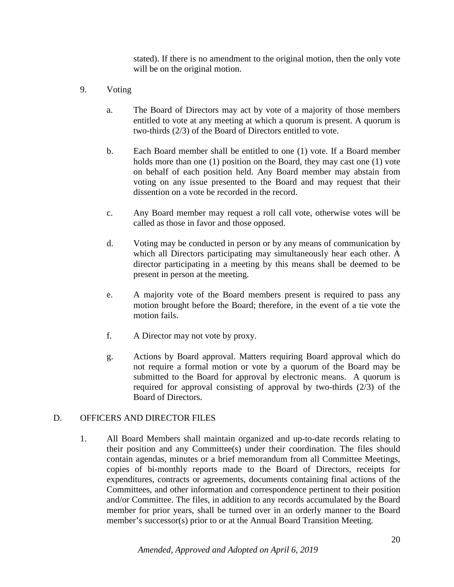stated). If there is no amendment to the original motion, then the only vote will be on the original motion.

- 9. Voting
	- a. The Board of Directors may act by vote of a majority of those members entitled to vote at any meeting at which a quorum is present. A quorum is two-thirds (2/3) of the Board of Directors entitled to vote.
	- b. Each Board member shall be entitled to one (1) vote. If a Board member holds more than one (1) position on the Board, they may cast one (1) vote on behalf of each position held. Any Board member may abstain from voting on any issue presented to the Board and may request that their dissention on a vote be recorded in the record.
	- c. Any Board member may request a roll call vote, otherwise votes will be called as those in favor and those opposed.
	- d. Voting may be conducted in person or by any means of communication by which all Directors participating may simultaneously hear each other. A director participating in a meeting by this means shall be deemed to be present in person at the meeting.
	- e. A majority vote of the Board members present is required to pass any motion brought before the Board; therefore, in the event of a tie vote the motion fails.
	- f. A Director may not vote by proxy.
	- g. Actions by Board approval. Matters requiring Board approval which do not require a formal motion or vote by a quorum of the Board may be submitted to the Board for approval by electronic means. A quorum is required for approval consisting of approval by two-thirds (2/3) of the Board of Directors.

#### D. OFFICERS AND DIRECTOR FILES

1. All Board Members shall maintain organized and up-to-date records relating to their position and any Committee(s) under their coordination. The files should contain agendas, minutes or a brief memorandum from all Committee Meetings, copies of bi-monthly reports made to the Board of Directors, receipts for expenditures, contracts or agreements, documents containing final actions of the Committees, and other information and correspondence pertinent to their position and/or Committee. The files, in addition to any records accumulated by the Board member for prior years, shall be turned over in an orderly manner to the Board member's successor(s) prior to or at the Annual Board Transition Meeting.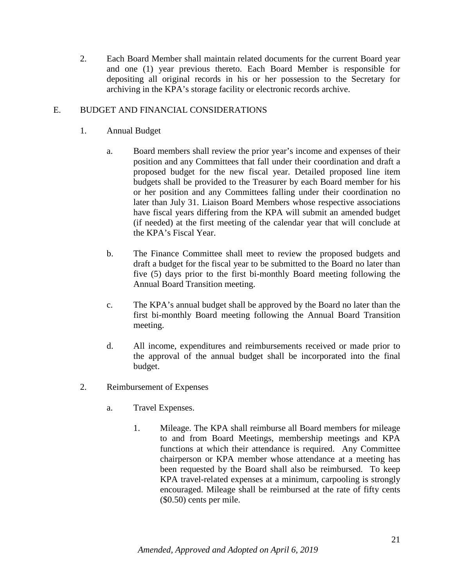2. Each Board Member shall maintain related documents for the current Board year and one (1) year previous thereto. Each Board Member is responsible for depositing all original records in his or her possession to the Secretary for archiving in the KPA's storage facility or electronic records archive.

# E. BUDGET AND FINANCIAL CONSIDERATIONS

- 1. Annual Budget
	- a. Board members shall review the prior year's income and expenses of their position and any Committees that fall under their coordination and draft a proposed budget for the new fiscal year. Detailed proposed line item budgets shall be provided to the Treasurer by each Board member for his or her position and any Committees falling under their coordination no later than July 31. Liaison Board Members whose respective associations have fiscal years differing from the KPA will submit an amended budget (if needed) at the first meeting of the calendar year that will conclude at the KPA's Fiscal Year.
	- b. The Finance Committee shall meet to review the proposed budgets and draft a budget for the fiscal year to be submitted to the Board no later than five (5) days prior to the first bi-monthly Board meeting following the Annual Board Transition meeting.
	- c. The KPA's annual budget shall be approved by the Board no later than the first bi-monthly Board meeting following the Annual Board Transition meeting.
	- d. All income, expenditures and reimbursements received or made prior to the approval of the annual budget shall be incorporated into the final budget.
- 2. Reimbursement of Expenses
	- a. Travel Expenses.
		- 1. Mileage. The KPA shall reimburse all Board members for mileage to and from Board Meetings, membership meetings and KPA functions at which their attendance is required. Any Committee chairperson or KPA member whose attendance at a meeting has been requested by the Board shall also be reimbursed. To keep KPA travel-related expenses at a minimum, carpooling is strongly encouraged. Mileage shall be reimbursed at the rate of fifty cents (\$0.50) cents per mile.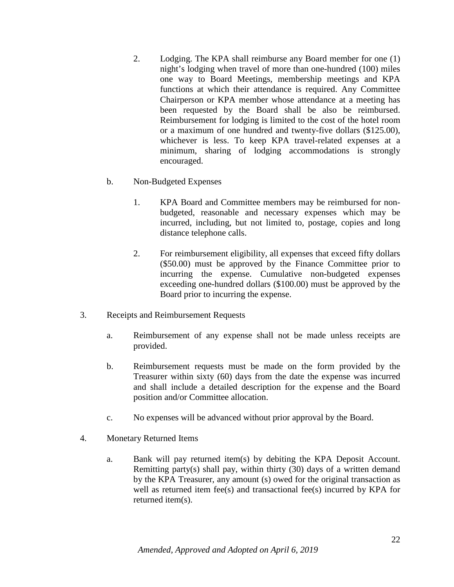- 2. Lodging. The KPA shall reimburse any Board member for one (1) night's lodging when travel of more than one-hundred (100) miles one way to Board Meetings, membership meetings and KPA functions at which their attendance is required. Any Committee Chairperson or KPA member whose attendance at a meeting has been requested by the Board shall be also be reimbursed. Reimbursement for lodging is limited to the cost of the hotel room or a maximum of one hundred and twenty-five dollars (\$125.00), whichever is less. To keep KPA travel-related expenses at a minimum, sharing of lodging accommodations is strongly encouraged.
- b. Non-Budgeted Expenses
	- 1. KPA Board and Committee members may be reimbursed for nonbudgeted, reasonable and necessary expenses which may be incurred, including, but not limited to, postage, copies and long distance telephone calls.
	- 2. For reimbursement eligibility, all expenses that exceed fifty dollars (\$50.00) must be approved by the Finance Committee prior to incurring the expense. Cumulative non-budgeted expenses exceeding one-hundred dollars (\$100.00) must be approved by the Board prior to incurring the expense.
- 3. Receipts and Reimbursement Requests
	- a. Reimbursement of any expense shall not be made unless receipts are provided.
	- b. Reimbursement requests must be made on the form provided by the Treasurer within sixty (60) days from the date the expense was incurred and shall include a detailed description for the expense and the Board position and/or Committee allocation.
	- c. No expenses will be advanced without prior approval by the Board.
- 4. Monetary Returned Items
	- a. Bank will pay returned item(s) by debiting the KPA Deposit Account. Remitting party(s) shall pay, within thirty (30) days of a written demand by the KPA Treasurer, any amount (s) owed for the original transaction as well as returned item fee(s) and transactional fee(s) incurred by KPA for returned item(s).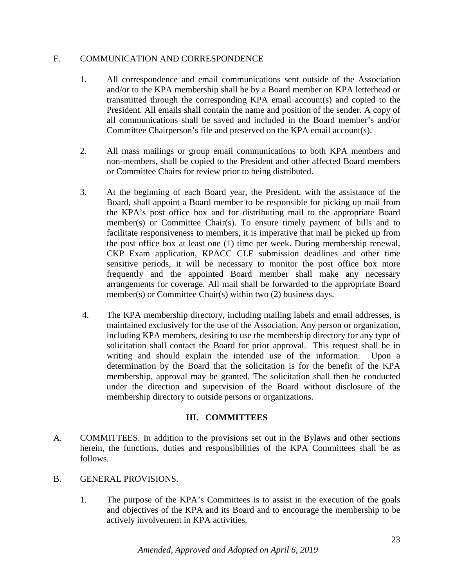#### F. COMMUNICATION AND CORRESPONDENCE

- 1. All correspondence and email communications sent outside of the Association and/or to the KPA membership shall be by a Board member on KPA letterhead or transmitted through the corresponding KPA email account(s) and copied to the President. All emails shall contain the name and position of the sender. A copy of all communications shall be saved and included in the Board member's and/or Committee Chairperson's file and preserved on the KPA email account(s).
- 2. All mass mailings or group email communications to both KPA members and non-members, shall be copied to the President and other affected Board members or Committee Chairs for review prior to being distributed.
- 3. At the beginning of each Board year, the President, with the assistance of the Board, shall appoint a Board member to be responsible for picking up mail from the KPA's post office box and for distributing mail to the appropriate Board member(s) or Committee Chair(s). To ensure timely payment of bills and to facilitate responsiveness to members, it is imperative that mail be picked up from the post office box at least one (1) time per week. During membership renewal, CKP Exam application, KPACC CLE submission deadlines and other time sensitive periods, it will be necessary to monitor the post office box more frequently and the appointed Board member shall make any necessary arrangements for coverage. All mail shall be forwarded to the appropriate Board member(s) or Committee Chair(s) within two (2) business days.
- 4. The KPA membership directory, including mailing labels and email addresses, is maintained exclusively for the use of the Association. Any person or organization, including KPA members, desiring to use the membership directory for any type of solicitation shall contact the Board for prior approval. This request shall be in writing and should explain the intended use of the information. Upon a determination by the Board that the solicitation is for the benefit of the KPA membership, approval may be granted. The solicitation shall then be conducted under the direction and supervision of the Board without disclosure of the membership directory to outside persons or organizations.

# **III. COMMITTEES**

- A. COMMITTEES. In addition to the provisions set out in the Bylaws and other sections herein, the functions, duties and responsibilities of the KPA Committees shall be as follows.
- B. GENERAL PROVISIONS.
	- 1. The purpose of the KPA's Committees is to assist in the execution of the goals and objectives of the KPA and its Board and to encourage the membership to be actively involvement in KPA activities.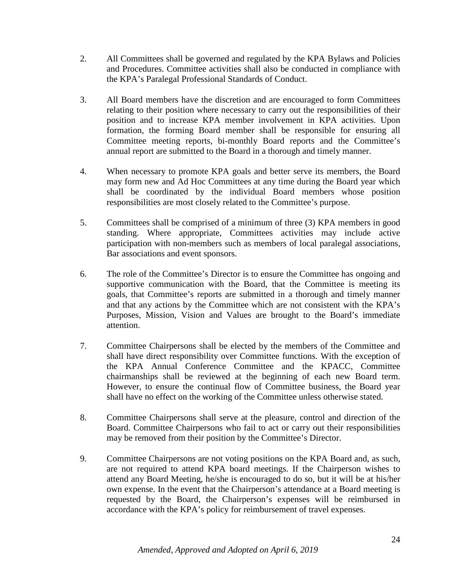- 2. All Committees shall be governed and regulated by the KPA Bylaws and Policies and Procedures. Committee activities shall also be conducted in compliance with the KPA's Paralegal Professional Standards of Conduct.
- 3. All Board members have the discretion and are encouraged to form Committees relating to their position where necessary to carry out the responsibilities of their position and to increase KPA member involvement in KPA activities. Upon formation, the forming Board member shall be responsible for ensuring all Committee meeting reports, bi-monthly Board reports and the Committee's annual report are submitted to the Board in a thorough and timely manner.
- 4. When necessary to promote KPA goals and better serve its members, the Board may form new and Ad Hoc Committees at any time during the Board year which shall be coordinated by the individual Board members whose position responsibilities are most closely related to the Committee's purpose.
- 5. Committees shall be comprised of a minimum of three (3) KPA members in good standing. Where appropriate, Committees activities may include active participation with non-members such as members of local paralegal associations, Bar associations and event sponsors.
- 6. The role of the Committee's Director is to ensure the Committee has ongoing and supportive communication with the Board, that the Committee is meeting its goals, that Committee's reports are submitted in a thorough and timely manner and that any actions by the Committee which are not consistent with the KPA's Purposes, Mission, Vision and Values are brought to the Board's immediate attention.
- 7. Committee Chairpersons shall be elected by the members of the Committee and shall have direct responsibility over Committee functions. With the exception of the KPA Annual Conference Committee and the KPACC, Committee chairmanships shall be reviewed at the beginning of each new Board term. However, to ensure the continual flow of Committee business, the Board year shall have no effect on the working of the Committee unless otherwise stated.
- 8. Committee Chairpersons shall serve at the pleasure, control and direction of the Board. Committee Chairpersons who fail to act or carry out their responsibilities may be removed from their position by the Committee's Director.
- 9. Committee Chairpersons are not voting positions on the KPA Board and, as such, are not required to attend KPA board meetings. If the Chairperson wishes to attend any Board Meeting, he/she is encouraged to do so, but it will be at his/her own expense. In the event that the Chairperson's attendance at a Board meeting is requested by the Board, the Chairperson's expenses will be reimbursed in accordance with the KPA's policy for reimbursement of travel expenses.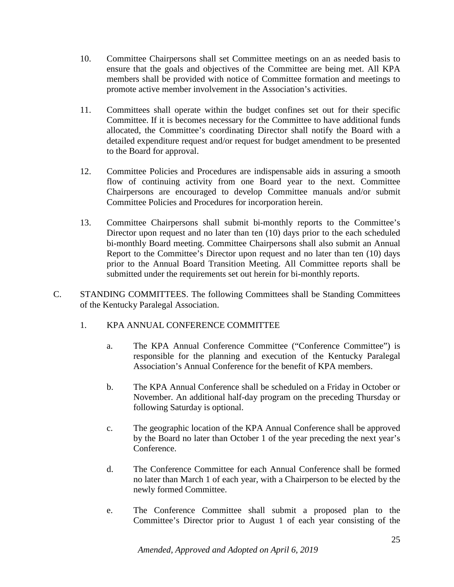- 10. Committee Chairpersons shall set Committee meetings on an as needed basis to ensure that the goals and objectives of the Committee are being met. All KPA members shall be provided with notice of Committee formation and meetings to promote active member involvement in the Association's activities.
- 11. Committees shall operate within the budget confines set out for their specific Committee. If it is becomes necessary for the Committee to have additional funds allocated, the Committee's coordinating Director shall notify the Board with a detailed expenditure request and/or request for budget amendment to be presented to the Board for approval.
- 12. Committee Policies and Procedures are indispensable aids in assuring a smooth flow of continuing activity from one Board year to the next. Committee Chairpersons are encouraged to develop Committee manuals and/or submit Committee Policies and Procedures for incorporation herein.
- 13. Committee Chairpersons shall submit bi-monthly reports to the Committee's Director upon request and no later than ten (10) days prior to the each scheduled bi-monthly Board meeting. Committee Chairpersons shall also submit an Annual Report to the Committee's Director upon request and no later than ten (10) days prior to the Annual Board Transition Meeting. All Committee reports shall be submitted under the requirements set out herein for bi-monthly reports.
- C. STANDING COMMITTEES. The following Committees shall be Standing Committees of the Kentucky Paralegal Association.
	- 1. KPA ANNUAL CONFERENCE COMMITTEE
		- a. The KPA Annual Conference Committee ("Conference Committee") is responsible for the planning and execution of the Kentucky Paralegal Association's Annual Conference for the benefit of KPA members.
		- b. The KPA Annual Conference shall be scheduled on a Friday in October or November. An additional half-day program on the preceding Thursday or following Saturday is optional.
		- c. The geographic location of the KPA Annual Conference shall be approved by the Board no later than October 1 of the year preceding the next year's Conference.
		- d. The Conference Committee for each Annual Conference shall be formed no later than March 1 of each year, with a Chairperson to be elected by the newly formed Committee.
		- e. The Conference Committee shall submit a proposed plan to the Committee's Director prior to August 1 of each year consisting of the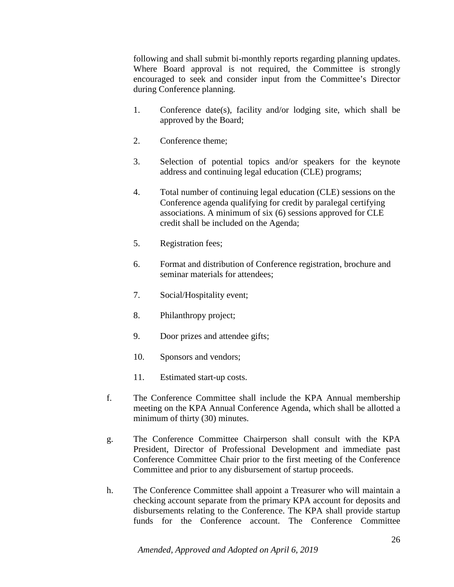following and shall submit bi-monthly reports regarding planning updates. Where Board approval is not required, the Committee is strongly encouraged to seek and consider input from the Committee's Director during Conference planning.

- 1. Conference date(s), facility and/or lodging site, which shall be approved by the Board;
- 2. Conference theme;
- 3. Selection of potential topics and/or speakers for the keynote address and continuing legal education (CLE) programs;
- 4. Total number of continuing legal education (CLE) sessions on the Conference agenda qualifying for credit by paralegal certifying associations. A minimum of six (6) sessions approved for CLE credit shall be included on the Agenda;
- 5. Registration fees;
- 6. Format and distribution of Conference registration, brochure and seminar materials for attendees;
- 7. Social/Hospitality event;
- 8. Philanthropy project;
- 9. Door prizes and attendee gifts;
- 10. Sponsors and vendors;
- 11. Estimated start-up costs.
- f. The Conference Committee shall include the KPA Annual membership meeting on the KPA Annual Conference Agenda, which shall be allotted a minimum of thirty (30) minutes.
- g. The Conference Committee Chairperson shall consult with the KPA President, Director of Professional Development and immediate past Conference Committee Chair prior to the first meeting of the Conference Committee and prior to any disbursement of startup proceeds.
- h. The Conference Committee shall appoint a Treasurer who will maintain a checking account separate from the primary KPA account for deposits and disbursements relating to the Conference. The KPA shall provide startup funds for the Conference account. The Conference Committee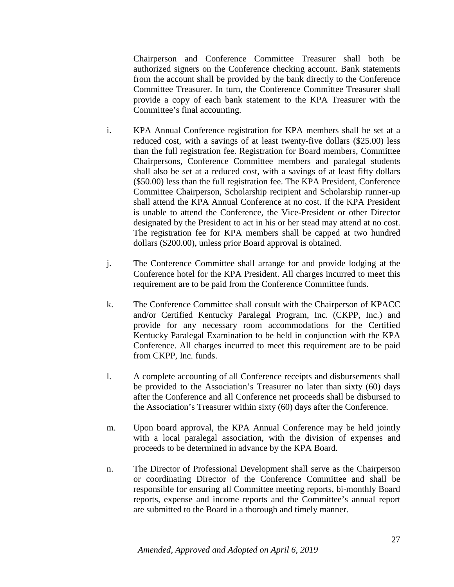Chairperson and Conference Committee Treasurer shall both be authorized signers on the Conference checking account. Bank statements from the account shall be provided by the bank directly to the Conference Committee Treasurer. In turn, the Conference Committee Treasurer shall provide a copy of each bank statement to the KPA Treasurer with the Committee's final accounting.

- i. KPA Annual Conference registration for KPA members shall be set at a reduced cost, with a savings of at least twenty-five dollars (\$25.00) less than the full registration fee. Registration for Board members, Committee Chairpersons, Conference Committee members and paralegal students shall also be set at a reduced cost, with a savings of at least fifty dollars (\$50.00) less than the full registration fee. The KPA President, Conference Committee Chairperson, Scholarship recipient and Scholarship runner-up shall attend the KPA Annual Conference at no cost. If the KPA President is unable to attend the Conference, the Vice-President or other Director designated by the President to act in his or her stead may attend at no cost. The registration fee for KPA members shall be capped at two hundred dollars (\$200.00), unless prior Board approval is obtained.
- j. The Conference Committee shall arrange for and provide lodging at the Conference hotel for the KPA President. All charges incurred to meet this requirement are to be paid from the Conference Committee funds.
- k. The Conference Committee shall consult with the Chairperson of KPACC and/or Certified Kentucky Paralegal Program, Inc. (CKPP, Inc.) and provide for any necessary room accommodations for the Certified Kentucky Paralegal Examination to be held in conjunction with the KPA Conference. All charges incurred to meet this requirement are to be paid from CKPP, Inc. funds.
- l. A complete accounting of all Conference receipts and disbursements shall be provided to the Association's Treasurer no later than sixty (60) days after the Conference and all Conference net proceeds shall be disbursed to the Association's Treasurer within sixty (60) days after the Conference.
- m. Upon board approval, the KPA Annual Conference may be held jointly with a local paralegal association, with the division of expenses and proceeds to be determined in advance by the KPA Board.
- n. The Director of Professional Development shall serve as the Chairperson or coordinating Director of the Conference Committee and shall be responsible for ensuring all Committee meeting reports, bi-monthly Board reports, expense and income reports and the Committee's annual report are submitted to the Board in a thorough and timely manner.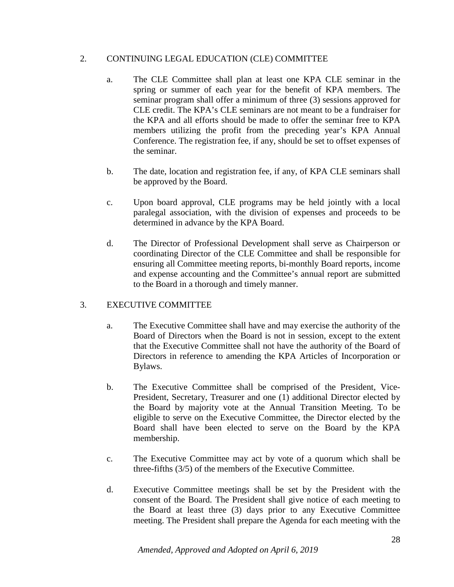# 2. CONTINUING LEGAL EDUCATION (CLE) COMMITTEE

- a. The CLE Committee shall plan at least one KPA CLE seminar in the spring or summer of each year for the benefit of KPA members. The seminar program shall offer a minimum of three (3) sessions approved for CLE credit. The KPA's CLE seminars are not meant to be a fundraiser for the KPA and all efforts should be made to offer the seminar free to KPA members utilizing the profit from the preceding year's KPA Annual Conference. The registration fee, if any, should be set to offset expenses of the seminar.
- b. The date, location and registration fee, if any, of KPA CLE seminars shall be approved by the Board.
- c. Upon board approval, CLE programs may be held jointly with a local paralegal association, with the division of expenses and proceeds to be determined in advance by the KPA Board.
- d. The Director of Professional Development shall serve as Chairperson or coordinating Director of the CLE Committee and shall be responsible for ensuring all Committee meeting reports, bi-monthly Board reports, income and expense accounting and the Committee's annual report are submitted to the Board in a thorough and timely manner.

# 3. EXECUTIVE COMMITTEE

- a. The Executive Committee shall have and may exercise the authority of the Board of Directors when the Board is not in session, except to the extent that the Executive Committee shall not have the authority of the Board of Directors in reference to amending the KPA Articles of Incorporation or Bylaws.
- b. The Executive Committee shall be comprised of the President, Vice-President, Secretary, Treasurer and one (1) additional Director elected by the Board by majority vote at the Annual Transition Meeting. To be eligible to serve on the Executive Committee, the Director elected by the Board shall have been elected to serve on the Board by the KPA membership.
- c. The Executive Committee may act by vote of a quorum which shall be three-fifths (3/5) of the members of the Executive Committee.
- d. Executive Committee meetings shall be set by the President with the consent of the Board. The President shall give notice of each meeting to the Board at least three (3) days prior to any Executive Committee meeting. The President shall prepare the Agenda for each meeting with the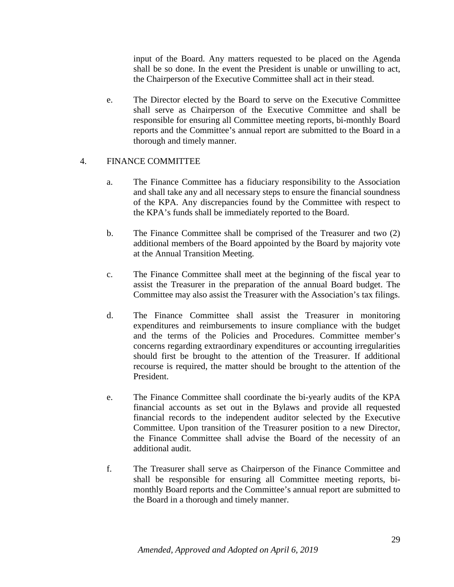input of the Board. Any matters requested to be placed on the Agenda shall be so done. In the event the President is unable or unwilling to act, the Chairperson of the Executive Committee shall act in their stead.

e. The Director elected by the Board to serve on the Executive Committee shall serve as Chairperson of the Executive Committee and shall be responsible for ensuring all Committee meeting reports, bi-monthly Board reports and the Committee's annual report are submitted to the Board in a thorough and timely manner.

# 4. FINANCE COMMITTEE

- a. The Finance Committee has a fiduciary responsibility to the Association and shall take any and all necessary steps to ensure the financial soundness of the KPA. Any discrepancies found by the Committee with respect to the KPA's funds shall be immediately reported to the Board.
- b. The Finance Committee shall be comprised of the Treasurer and two (2) additional members of the Board appointed by the Board by majority vote at the Annual Transition Meeting.
- c. The Finance Committee shall meet at the beginning of the fiscal year to assist the Treasurer in the preparation of the annual Board budget. The Committee may also assist the Treasurer with the Association's tax filings.
- d. The Finance Committee shall assist the Treasurer in monitoring expenditures and reimbursements to insure compliance with the budget and the terms of the Policies and Procedures. Committee member's concerns regarding extraordinary expenditures or accounting irregularities should first be brought to the attention of the Treasurer. If additional recourse is required, the matter should be brought to the attention of the President.
- e. The Finance Committee shall coordinate the bi-yearly audits of the KPA financial accounts as set out in the Bylaws and provide all requested financial records to the independent auditor selected by the Executive Committee. Upon transition of the Treasurer position to a new Director, the Finance Committee shall advise the Board of the necessity of an additional audit.
- f. The Treasurer shall serve as Chairperson of the Finance Committee and shall be responsible for ensuring all Committee meeting reports, bimonthly Board reports and the Committee's annual report are submitted to the Board in a thorough and timely manner.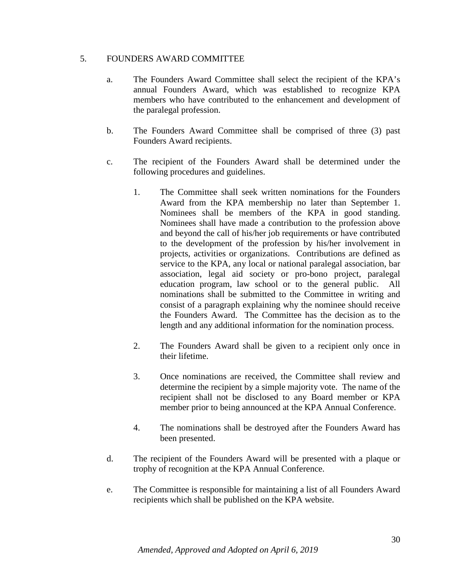#### 5. FOUNDERS AWARD COMMITTEE

- a. The Founders Award Committee shall select the recipient of the KPA's annual Founders Award, which was established to recognize KPA members who have contributed to the enhancement and development of the paralegal profession.
- b. The Founders Award Committee shall be comprised of three (3) past Founders Award recipients.
- c. The recipient of the Founders Award shall be determined under the following procedures and guidelines.
	- 1. The Committee shall seek written nominations for the Founders Award from the KPA membership no later than September 1. Nominees shall be members of the KPA in good standing. Nominees shall have made a contribution to the profession above and beyond the call of his/her job requirements or have contributed to the development of the profession by his/her involvement in projects, activities or organizations. Contributions are defined as service to the KPA, any local or national paralegal association, bar association, legal aid society or pro-bono project, paralegal education program, law school or to the general public. All nominations shall be submitted to the Committee in writing and consist of a paragraph explaining why the nominee should receive the Founders Award. The Committee has the decision as to the length and any additional information for the nomination process.
	- 2. The Founders Award shall be given to a recipient only once in their lifetime.
	- 3. Once nominations are received, the Committee shall review and determine the recipient by a simple majority vote. The name of the recipient shall not be disclosed to any Board member or KPA member prior to being announced at the KPA Annual Conference.
	- 4. The nominations shall be destroyed after the Founders Award has been presented.
- d. The recipient of the Founders Award will be presented with a plaque or trophy of recognition at the KPA Annual Conference.
- e. The Committee is responsible for maintaining a list of all Founders Award recipients which shall be published on the KPA website.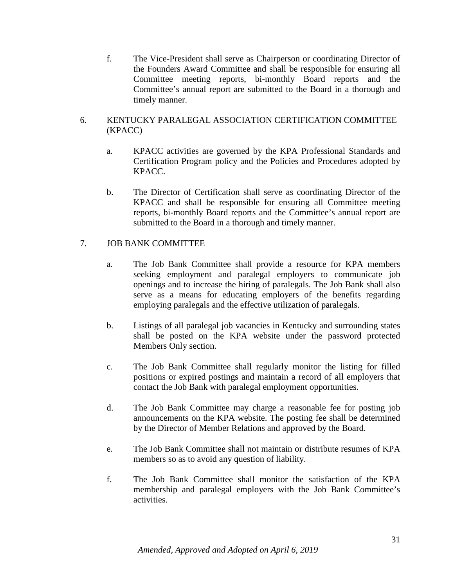f. The Vice-President shall serve as Chairperson or coordinating Director of the Founders Award Committee and shall be responsible for ensuring all Committee meeting reports, bi-monthly Board reports and the Committee's annual report are submitted to the Board in a thorough and timely manner.

#### 6. KENTUCKY PARALEGAL ASSOCIATION CERTIFICATION COMMITTEE (KPACC)

- a. KPACC activities are governed by the KPA Professional Standards and Certification Program policy and the Policies and Procedures adopted by KPACC.
- b. The Director of Certification shall serve as coordinating Director of the KPACC and shall be responsible for ensuring all Committee meeting reports, bi-monthly Board reports and the Committee's annual report are submitted to the Board in a thorough and timely manner.

# 7. JOB BANK COMMITTEE

- a. The Job Bank Committee shall provide a resource for KPA members seeking employment and paralegal employers to communicate job openings and to increase the hiring of paralegals. The Job Bank shall also serve as a means for educating employers of the benefits regarding employing paralegals and the effective utilization of paralegals.
- b. Listings of all paralegal job vacancies in Kentucky and surrounding states shall be posted on the KPA website under the password protected Members Only section.
- c. The Job Bank Committee shall regularly monitor the listing for filled positions or expired postings and maintain a record of all employers that contact the Job Bank with paralegal employment opportunities.
- d. The Job Bank Committee may charge a reasonable fee for posting job announcements on the KPA website. The posting fee shall be determined by the Director of Member Relations and approved by the Board.
- e. The Job Bank Committee shall not maintain or distribute resumes of KPA members so as to avoid any question of liability.
- f. The Job Bank Committee shall monitor the satisfaction of the KPA membership and paralegal employers with the Job Bank Committee's activities.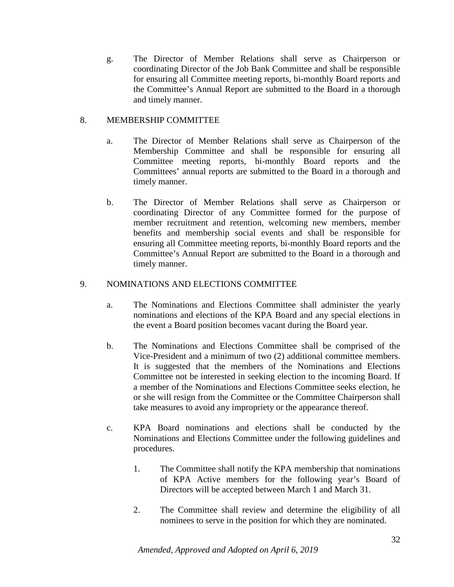g. The Director of Member Relations shall serve as Chairperson or coordinating Director of the Job Bank Committee and shall be responsible for ensuring all Committee meeting reports, bi-monthly Board reports and the Committee's Annual Report are submitted to the Board in a thorough and timely manner.

#### 8. MEMBERSHIP COMMITTEE

- a. The Director of Member Relations shall serve as Chairperson of the Membership Committee and shall be responsible for ensuring all Committee meeting reports, bi-monthly Board reports and the Committees' annual reports are submitted to the Board in a thorough and timely manner.
- b. The Director of Member Relations shall serve as Chairperson or coordinating Director of any Committee formed for the purpose of member recruitment and retention, welcoming new members, member benefits and membership social events and shall be responsible for ensuring all Committee meeting reports, bi-monthly Board reports and the Committee's Annual Report are submitted to the Board in a thorough and timely manner.

#### 9. NOMINATIONS AND ELECTIONS COMMITTEE

- a. The Nominations and Elections Committee shall administer the yearly nominations and elections of the KPA Board and any special elections in the event a Board position becomes vacant during the Board year.
- b. The Nominations and Elections Committee shall be comprised of the Vice-President and a minimum of two (2) additional committee members. It is suggested that the members of the Nominations and Elections Committee not be interested in seeking election to the incoming Board. If a member of the Nominations and Elections Committee seeks election, he or she will resign from the Committee or the Committee Chairperson shall take measures to avoid any impropriety or the appearance thereof.
- c. KPA Board nominations and elections shall be conducted by the Nominations and Elections Committee under the following guidelines and procedures.
	- 1. The Committee shall notify the KPA membership that nominations of KPA Active members for the following year's Board of Directors will be accepted between March 1 and March 31.
	- 2. The Committee shall review and determine the eligibility of all nominees to serve in the position for which they are nominated.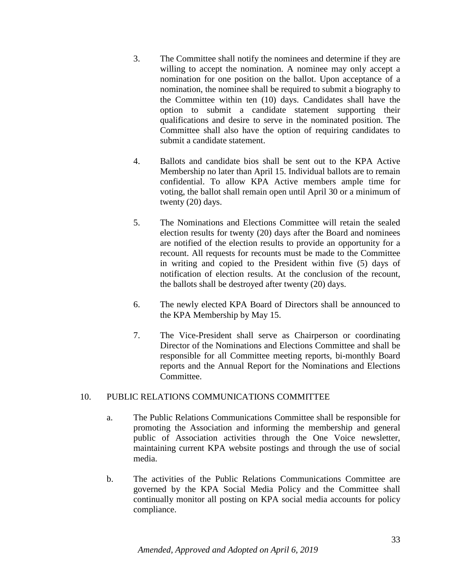- 3. The Committee shall notify the nominees and determine if they are willing to accept the nomination. A nominee may only accept a nomination for one position on the ballot. Upon acceptance of a nomination, the nominee shall be required to submit a biography to the Committee within ten (10) days. Candidates shall have the option to submit a candidate statement supporting their qualifications and desire to serve in the nominated position. The Committee shall also have the option of requiring candidates to submit a candidate statement.
- 4. Ballots and candidate bios shall be sent out to the KPA Active Membership no later than April 15. Individual ballots are to remain confidential. To allow KPA Active members ample time for voting, the ballot shall remain open until April 30 or a minimum of twenty (20) days.
- 5. The Nominations and Elections Committee will retain the sealed election results for twenty (20) days after the Board and nominees are notified of the election results to provide an opportunity for a recount. All requests for recounts must be made to the Committee in writing and copied to the President within five (5) days of notification of election results. At the conclusion of the recount, the ballots shall be destroyed after twenty (20) days.
- 6. The newly elected KPA Board of Directors shall be announced to the KPA Membership by May 15.
- 7. The Vice-President shall serve as Chairperson or coordinating Director of the Nominations and Elections Committee and shall be responsible for all Committee meeting reports, bi-monthly Board reports and the Annual Report for the Nominations and Elections Committee.

# 10. PUBLIC RELATIONS COMMUNICATIONS COMMITTEE

- a. The Public Relations Communications Committee shall be responsible for promoting the Association and informing the membership and general public of Association activities through the One Voice newsletter, maintaining current KPA website postings and through the use of social media.
- b. The activities of the Public Relations Communications Committee are governed by the KPA Social Media Policy and the Committee shall continually monitor all posting on KPA social media accounts for policy compliance.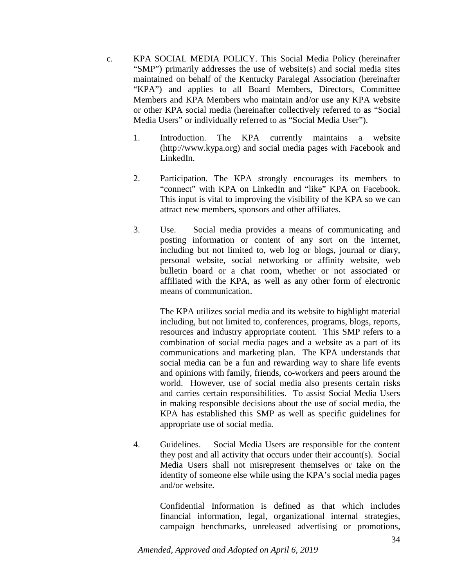- c. KPA SOCIAL MEDIA POLICY. This Social Media Policy (hereinafter "SMP") primarily addresses the use of website(s) and social media sites maintained on behalf of the Kentucky Paralegal Association (hereinafter "KPA") and applies to all Board Members, Directors, Committee Members and KPA Members who maintain and/or use any KPA website or other KPA social media (hereinafter collectively referred to as "Social Media Users" or individually referred to as "Social Media User").
	- 1. Introduction. The KPA currently maintains a website (http://www.kypa.org) and social media pages with Facebook and LinkedIn.
	- 2. Participation. The KPA strongly encourages its members to "connect" with KPA on LinkedIn and "like" KPA on Facebook. This input is vital to improving the visibility of the KPA so we can attract new members, sponsors and other affiliates.
	- 3. Use. Social media provides a means of communicating and posting information or content of any sort on the internet, including but not limited to, web log or blogs, journal or diary, personal website, social networking or affinity website, web bulletin board or a chat room, whether or not associated or affiliated with the KPA, as well as any other form of electronic means of communication.

The KPA utilizes social media and its website to highlight material including, but not limited to, conferences, programs, blogs, reports, resources and industry appropriate content. This SMP refers to a combination of social media pages and a website as a part of its communications and marketing plan. The KPA understands that social media can be a fun and rewarding way to share life events and opinions with family, friends, co-workers and peers around the world. However, use of social media also presents certain risks and carries certain responsibilities. To assist Social Media Users in making responsible decisions about the use of social media, the KPA has established this SMP as well as specific guidelines for appropriate use of social media.

4. Guidelines. Social Media Users are responsible for the content they post and all activity that occurs under their account(s). Social Media Users shall not misrepresent themselves or take on the identity of someone else while using the KPA's social media pages and/or website.

> Confidential Information is defined as that which includes financial information, legal, organizational internal strategies, campaign benchmarks, unreleased advertising or promotions,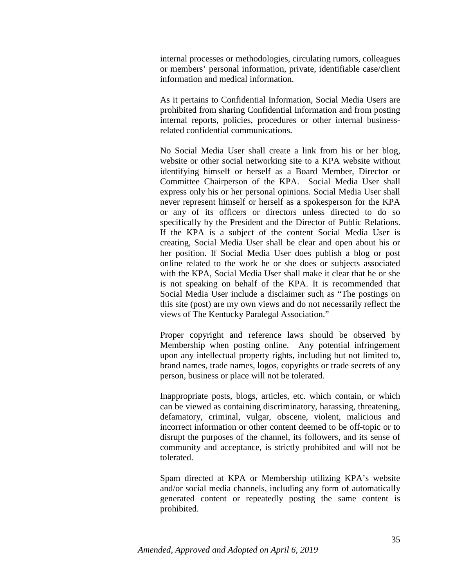internal processes or methodologies, circulating rumors, colleagues or members' personal information, private, identifiable case/client information and medical information.

As it pertains to Confidential Information, Social Media Users are prohibited from sharing Confidential Information and from posting internal reports, policies, procedures or other internal businessrelated confidential communications.

No Social Media User shall create a link from his or her blog, website or other social networking site to a KPA website without identifying himself or herself as a Board Member, Director or Committee Chairperson of the KPA. Social Media User shall express only his or her personal opinions. Social Media User shall never represent himself or herself as a spokesperson for the KPA or any of its officers or directors unless directed to do so specifically by the President and the Director of Public Relations. If the KPA is a subject of the content Social Media User is creating, Social Media User shall be clear and open about his or her position. If Social Media User does publish a blog or post online related to the work he or she does or subjects associated with the KPA, Social Media User shall make it clear that he or she is not speaking on behalf of the KPA. It is recommended that Social Media User include a disclaimer such as "The postings on this site (post) are my own views and do not necessarily reflect the views of The Kentucky Paralegal Association."

Proper copyright and reference laws should be observed by Membership when posting online. Any potential infringement upon any intellectual property rights, including but not limited to, brand names, trade names, logos, copyrights or trade secrets of any person, business or place will not be tolerated.

Inappropriate posts, blogs, articles, etc. which contain, or which can be viewed as containing discriminatory, harassing, threatening, defamatory, criminal, vulgar, obscene, violent, malicious and incorrect information or other content deemed to be off-topic or to disrupt the purposes of the channel, its followers, and its sense of community and acceptance, is strictly prohibited and will not be tolerated.

Spam directed at KPA or Membership utilizing KPA's website and/or social media channels, including any form of automatically generated content or repeatedly posting the same content is prohibited.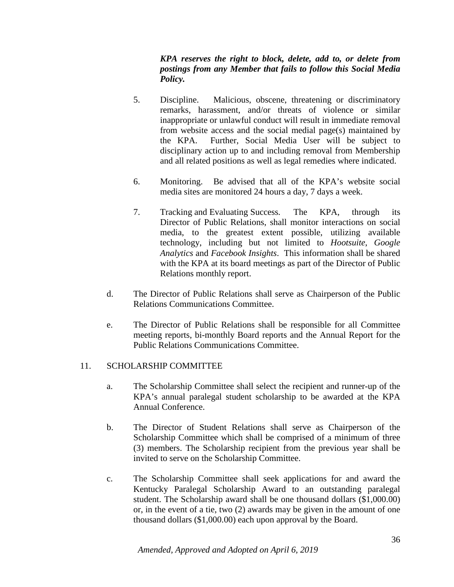*KPA reserves the right to block, delete, add to, or delete from postings from any Member that fails to follow this Social Media Policy.* 

- 5. Discipline. Malicious, obscene, threatening or discriminatory remarks, harassment, and/or threats of violence or similar inappropriate or unlawful conduct will result in immediate removal from website access and the social medial page(s) maintained by the KPA. Further, Social Media User will be subject to disciplinary action up to and including removal from Membership and all related positions as well as legal remedies where indicated.
- 6. Monitoring. Be advised that all of the KPA's website social media sites are monitored 24 hours a day, 7 days a week.
- 7. Tracking and Evaluating Success*.* The KPA, through its Director of Public Relations, shall monitor interactions on social media, to the greatest extent possible, utilizing available technology, including but not limited to *Hootsuite*, *Google Analytics* and *Facebook Insights*. This information shall be shared with the KPA at its board meetings as part of the Director of Public Relations monthly report.
- d. The Director of Public Relations shall serve as Chairperson of the Public Relations Communications Committee.
- e. The Director of Public Relations shall be responsible for all Committee meeting reports, bi-monthly Board reports and the Annual Report for the Public Relations Communications Committee.

# 11. SCHOLARSHIP COMMITTEE

- a. The Scholarship Committee shall select the recipient and runner-up of the KPA's annual paralegal student scholarship to be awarded at the KPA Annual Conference.
- b. The Director of Student Relations shall serve as Chairperson of the Scholarship Committee which shall be comprised of a minimum of three (3) members. The Scholarship recipient from the previous year shall be invited to serve on the Scholarship Committee.
- c. The Scholarship Committee shall seek applications for and award the Kentucky Paralegal Scholarship Award to an outstanding paralegal student. The Scholarship award shall be one thousand dollars (\$1,000.00) or, in the event of a tie, two (2) awards may be given in the amount of one thousand dollars (\$1,000.00) each upon approval by the Board.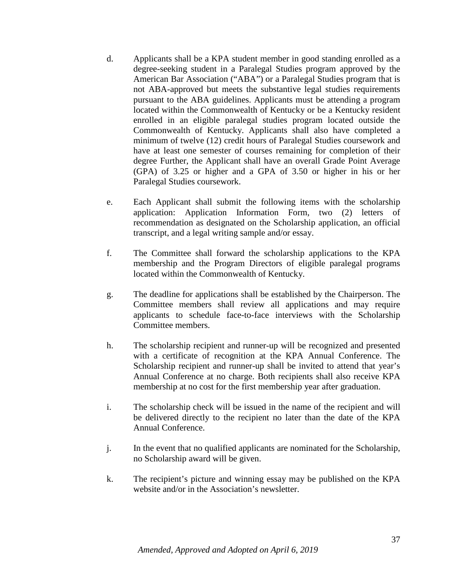- d. Applicants shall be a KPA student member in good standing enrolled as a degree-seeking student in a Paralegal Studies program approved by the American Bar Association ("ABA") or a Paralegal Studies program that is not ABA-approved but meets the substantive legal studies requirements pursuant to the ABA guidelines. Applicants must be attending a program located within the Commonwealth of Kentucky or be a Kentucky resident enrolled in an eligible paralegal studies program located outside the Commonwealth of Kentucky. Applicants shall also have completed a minimum of twelve (12) credit hours of Paralegal Studies coursework and have at least one semester of courses remaining for completion of their degree Further, the Applicant shall have an overall Grade Point Average (GPA) of 3.25 or higher and a GPA of 3.50 or higher in his or her Paralegal Studies coursework.
- e. Each Applicant shall submit the following items with the scholarship application: Application Information Form, two (2) letters of recommendation as designated on the Scholarship application, an official transcript, and a legal writing sample and/or essay.
- f. The Committee shall forward the scholarship applications to the KPA membership and the Program Directors of eligible paralegal programs located within the Commonwealth of Kentucky.
- g. The deadline for applications shall be established by the Chairperson. The Committee members shall review all applications and may require applicants to schedule face-to-face interviews with the Scholarship Committee members.
- h. The scholarship recipient and runner-up will be recognized and presented with a certificate of recognition at the KPA Annual Conference. The Scholarship recipient and runner-up shall be invited to attend that year's Annual Conference at no charge. Both recipients shall also receive KPA membership at no cost for the first membership year after graduation.
- i. The scholarship check will be issued in the name of the recipient and will be delivered directly to the recipient no later than the date of the KPA Annual Conference.
- j. In the event that no qualified applicants are nominated for the Scholarship, no Scholarship award will be given.
- k. The recipient's picture and winning essay may be published on the KPA website and/or in the Association's newsletter.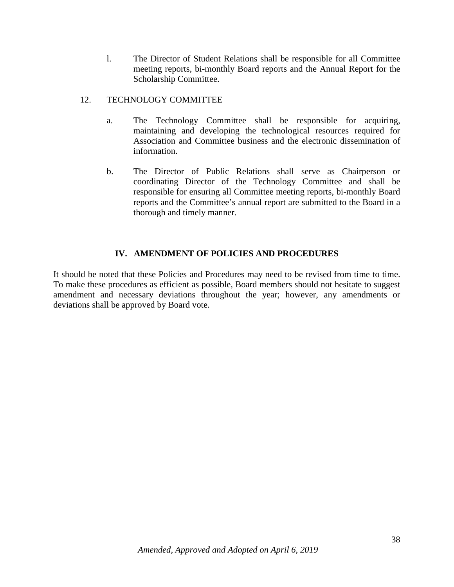l. The Director of Student Relations shall be responsible for all Committee meeting reports, bi-monthly Board reports and the Annual Report for the Scholarship Committee.

#### 12. TECHNOLOGY COMMITTEE

- a. The Technology Committee shall be responsible for acquiring, maintaining and developing the technological resources required for Association and Committee business and the electronic dissemination of information.
- b. The Director of Public Relations shall serve as Chairperson or coordinating Director of the Technology Committee and shall be responsible for ensuring all Committee meeting reports, bi-monthly Board reports and the Committee's annual report are submitted to the Board in a thorough and timely manner.

#### **IV. AMENDMENT OF POLICIES AND PROCEDURES**

It should be noted that these Policies and Procedures may need to be revised from time to time. To make these procedures as efficient as possible, Board members should not hesitate to suggest amendment and necessary deviations throughout the year; however, any amendments or deviations shall be approved by Board vote.